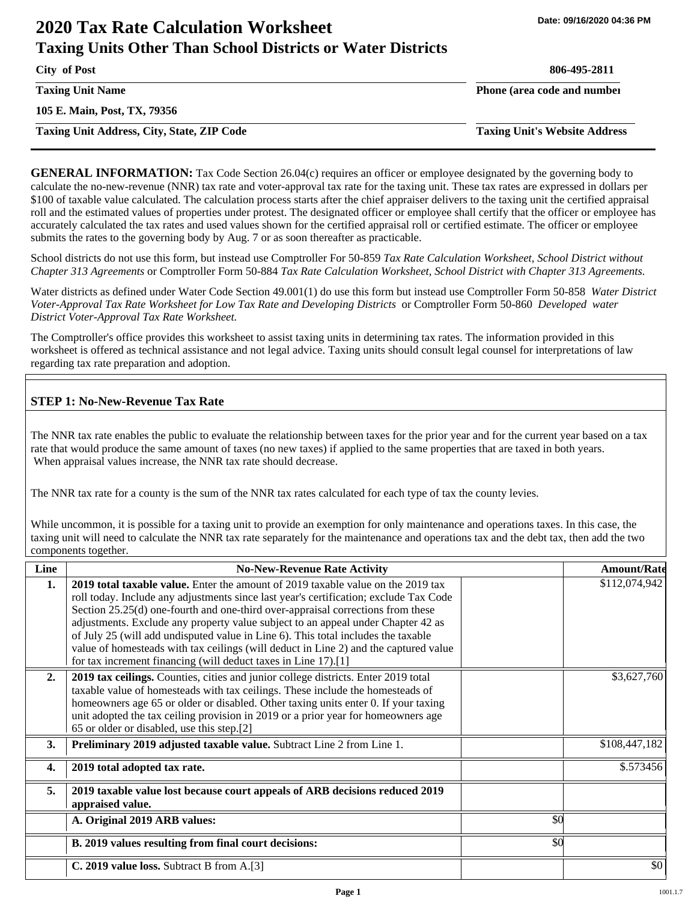# **2020 Tax Rate Calculation Worksheet Taxing Units Other Than School Districts or Water Districts**

**City of Post 806-495-2811**

**Taxing Unit Name Phone (area code and number Phone (area code and number** 

**105 E. Main, Post, TX, 79356**

**Taxing Unit Address, City, State, ZIP Code Taxing Unit's Website Address**

**GENERAL INFORMATION:** Tax Code Section 26.04(c) requires an officer or employee designated by the governing body to calculate the no-new-revenue (NNR) tax rate and voter-approval tax rate for the taxing unit. These tax rates are expressed in dollars per \$100 of taxable value calculated. The calculation process starts after the chief appraiser delivers to the taxing unit the certified appraisal roll and the estimated values of properties under protest. The designated officer or employee shall certify that the officer or employee has accurately calculated the tax rates and used values shown for the certified appraisal roll or certified estimate. The officer or employee submits the rates to the governing body by Aug. 7 or as soon thereafter as practicable.

School districts do not use this form, but instead use Comptroller For 50-859 *Tax Rate Calculation Worksheet, School District without Chapter 313 Agreements* or Comptroller Form 50-884 *Tax Rate Calculation Worksheet, School District with Chapter 313 Agreements.*

Water districts as defined under Water Code Section 49.001(1) do use this form but instead use Comptroller Form 50-858 *Water District Voter-Approval Tax Rate Worksheet for Low Tax Rate and Developing Districts* or Comptroller Form 50-860 *Developed water District Voter-Approval Tax Rate Worksheet.*

The Comptroller's office provides this worksheet to assist taxing units in determining tax rates. The information provided in this worksheet is offered as technical assistance and not legal advice. Taxing units should consult legal counsel for interpretations of law regarding tax rate preparation and adoption.

## **STEP 1: No-New-Revenue Tax Rate**

The NNR tax rate enables the public to evaluate the relationship between taxes for the prior year and for the current year based on a tax rate that would produce the same amount of taxes (no new taxes) if applied to the same properties that are taxed in both years. When appraisal values increase, the NNR tax rate should decrease.

The NNR tax rate for a county is the sum of the NNR tax rates calculated for each type of tax the county levies.

While uncommon, it is possible for a taxing unit to provide an exemption for only maintenance and operations taxes. In this case, the taxing unit will need to calculate the NNR tax rate separately for the maintenance and operations tax and the debt tax, then add the two components together.

| Line             | <b>No-New-Revenue Rate Activity</b>                                                                                                                                                                                                                                                                                                                                                                                                                                                                                                                                                             |     | <b>Amount/Rate</b> |
|------------------|-------------------------------------------------------------------------------------------------------------------------------------------------------------------------------------------------------------------------------------------------------------------------------------------------------------------------------------------------------------------------------------------------------------------------------------------------------------------------------------------------------------------------------------------------------------------------------------------------|-----|--------------------|
| 1.               | 2019 total taxable value. Enter the amount of 2019 taxable value on the 2019 tax<br>roll today. Include any adjustments since last year's certification; exclude Tax Code<br>Section 25.25(d) one-fourth and one-third over-appraisal corrections from these<br>adjustments. Exclude any property value subject to an appeal under Chapter 42 as<br>of July 25 (will add undisputed value in Line 6). This total includes the taxable<br>value of homesteads with tax ceilings (will deduct in Line 2) and the captured value<br>for tax increment financing (will deduct taxes in Line 17).[1] |     | \$112,074,942      |
| 2.               | 2019 tax ceilings. Counties, cities and junior college districts. Enter 2019 total<br>taxable value of homesteads with tax ceilings. These include the homesteads of<br>homeowners age 65 or older or disabled. Other taxing units enter 0. If your taxing<br>unit adopted the tax ceiling provision in 2019 or a prior year for homeowners age<br>65 or older or disabled, use this step.[2]                                                                                                                                                                                                   |     | \$3,627,760        |
| 3.               | Preliminary 2019 adjusted taxable value. Subtract Line 2 from Line 1.                                                                                                                                                                                                                                                                                                                                                                                                                                                                                                                           |     | \$108,447,182      |
| $\overline{4}$ . | 2019 total adopted tax rate.                                                                                                                                                                                                                                                                                                                                                                                                                                                                                                                                                                    |     | \$.573456          |
| 5.               | 2019 taxable value lost because court appeals of ARB decisions reduced 2019<br>appraised value.                                                                                                                                                                                                                                                                                                                                                                                                                                                                                                 |     |                    |
|                  | A. Original 2019 ARB values:                                                                                                                                                                                                                                                                                                                                                                                                                                                                                                                                                                    | \$0 |                    |
|                  | B. 2019 values resulting from final court decisions:                                                                                                                                                                                                                                                                                                                                                                                                                                                                                                                                            | \$0 |                    |
|                  | C. 2019 value loss. Subtract B from A.[3]                                                                                                                                                                                                                                                                                                                                                                                                                                                                                                                                                       |     | \$0                |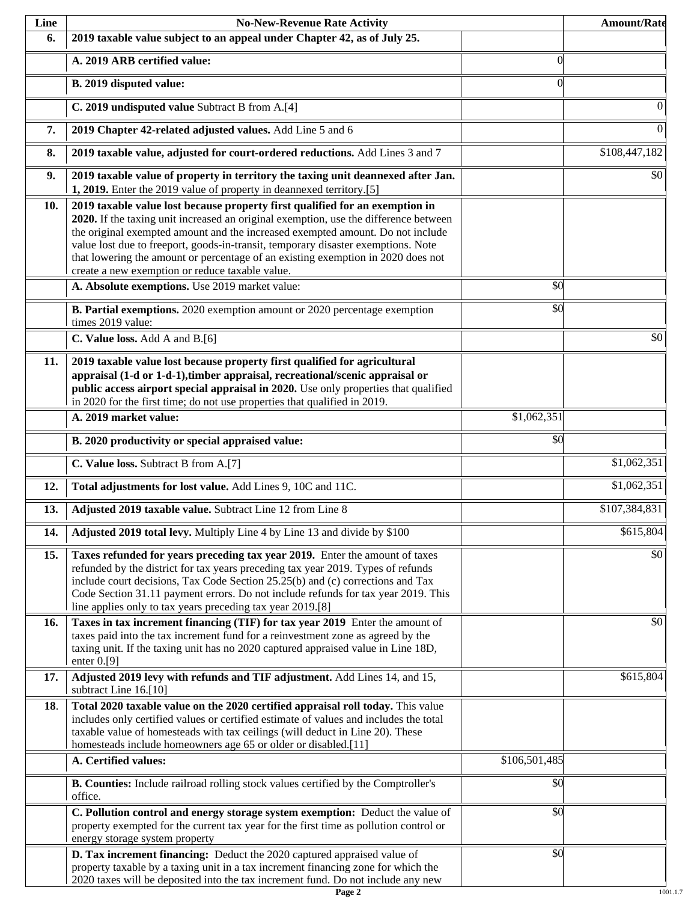| Line | <b>No-New-Revenue Rate Activity</b>                                                                                                                                                                                                                                                                                                                                                                                                                                                |                 | <b>Amount/Rate</b> |
|------|------------------------------------------------------------------------------------------------------------------------------------------------------------------------------------------------------------------------------------------------------------------------------------------------------------------------------------------------------------------------------------------------------------------------------------------------------------------------------------|-----------------|--------------------|
| 6.   | 2019 taxable value subject to an appeal under Chapter 42, as of July 25.                                                                                                                                                                                                                                                                                                                                                                                                           |                 |                    |
|      | A. 2019 ARB certified value:                                                                                                                                                                                                                                                                                                                                                                                                                                                       | $\theta$        |                    |
|      | B. 2019 disputed value:                                                                                                                                                                                                                                                                                                                                                                                                                                                            | $\Omega$        |                    |
|      | C. 2019 undisputed value Subtract B from A.[4]                                                                                                                                                                                                                                                                                                                                                                                                                                     |                 | $\theta$           |
| 7.   | 2019 Chapter 42-related adjusted values. Add Line 5 and 6                                                                                                                                                                                                                                                                                                                                                                                                                          |                 | $\overline{0}$     |
| 8.   | 2019 taxable value, adjusted for court-ordered reductions. Add Lines 3 and 7                                                                                                                                                                                                                                                                                                                                                                                                       |                 | \$108,447,182      |
| 9.   | 2019 taxable value of property in territory the taxing unit deannexed after Jan.<br>1, 2019. Enter the 2019 value of property in deannexed territory.[5]                                                                                                                                                                                                                                                                                                                           |                 | \$0                |
| 10.  | 2019 taxable value lost because property first qualified for an exemption in<br>2020. If the taxing unit increased an original exemption, use the difference between<br>the original exempted amount and the increased exempted amount. Do not include<br>value lost due to freeport, goods-in-transit, temporary disaster exemptions. Note<br>that lowering the amount or percentage of an existing exemption in 2020 does not<br>create a new exemption or reduce taxable value. |                 |                    |
|      | A. Absolute exemptions. Use 2019 market value:                                                                                                                                                                                                                                                                                                                                                                                                                                     | $\overline{50}$ |                    |
|      | B. Partial exemptions. 2020 exemption amount or 2020 percentage exemption<br>times 2019 value:                                                                                                                                                                                                                                                                                                                                                                                     | \$0             |                    |
|      | C. Value loss. Add A and B.[6]                                                                                                                                                                                                                                                                                                                                                                                                                                                     |                 | \$0                |
| 11.  | 2019 taxable value lost because property first qualified for agricultural<br>appraisal (1-d or 1-d-1), timber appraisal, recreational/scenic appraisal or<br>public access airport special appraisal in 2020. Use only properties that qualified<br>in 2020 for the first time; do not use properties that qualified in 2019.                                                                                                                                                      |                 |                    |
|      | A. 2019 market value:                                                                                                                                                                                                                                                                                                                                                                                                                                                              | \$1,062,351     |                    |
|      | B. 2020 productivity or special appraised value:                                                                                                                                                                                                                                                                                                                                                                                                                                   | \$0             |                    |
|      | C. Value loss. Subtract B from A.[7]                                                                                                                                                                                                                                                                                                                                                                                                                                               |                 | \$1,062,351        |
| 12.  | Total adjustments for lost value. Add Lines 9, 10C and 11C.                                                                                                                                                                                                                                                                                                                                                                                                                        |                 | \$1,062,351        |
| 13.  | Adjusted 2019 taxable value. Subtract Line 12 from Line 8                                                                                                                                                                                                                                                                                                                                                                                                                          |                 | \$107,384,831      |
| 14.  | Adjusted 2019 total levy. Multiply Line 4 by Line 13 and divide by \$100                                                                                                                                                                                                                                                                                                                                                                                                           |                 | \$615,804          |
| 15.  | Taxes refunded for years preceding tax year 2019. Enter the amount of taxes<br>refunded by the district for tax years preceding tax year 2019. Types of refunds<br>include court decisions, Tax Code Section 25.25(b) and (c) corrections and Tax<br>Code Section 31.11 payment errors. Do not include refunds for tax year 2019. This<br>line applies only to tax years preceding tax year 2019.[8]                                                                               |                 | \$0                |
| 16.  | Taxes in tax increment financing (TIF) for tax year 2019 Enter the amount of<br>taxes paid into the tax increment fund for a reinvestment zone as agreed by the<br>taxing unit. If the taxing unit has no 2020 captured appraised value in Line 18D,<br>enter $0.9$ ]                                                                                                                                                                                                              |                 | \$0                |
| 17.  | Adjusted 2019 levy with refunds and TIF adjustment. Add Lines 14, and 15,<br>subtract Line 16.[10]                                                                                                                                                                                                                                                                                                                                                                                 |                 | \$615,804          |
| 18.  | Total 2020 taxable value on the 2020 certified appraisal roll today. This value<br>includes only certified values or certified estimate of values and includes the total<br>taxable value of homesteads with tax ceilings (will deduct in Line 20). These<br>homesteads include homeowners age 65 or older or disabled.[11]                                                                                                                                                        |                 |                    |
|      | A. Certified values:                                                                                                                                                                                                                                                                                                                                                                                                                                                               | \$106,501,485   |                    |
|      | B. Counties: Include railroad rolling stock values certified by the Comptroller's<br>office.                                                                                                                                                                                                                                                                                                                                                                                       | \$0             |                    |
|      | C. Pollution control and energy storage system exemption: Deduct the value of<br>property exempted for the current tax year for the first time as pollution control or<br>energy storage system property                                                                                                                                                                                                                                                                           | \$0             |                    |
|      | D. Tax increment financing: Deduct the 2020 captured appraised value of<br>property taxable by a taxing unit in a tax increment financing zone for which the<br>2020 taxes will be deposited into the tax increment fund. Do not include any new                                                                                                                                                                                                                                   | \$0             |                    |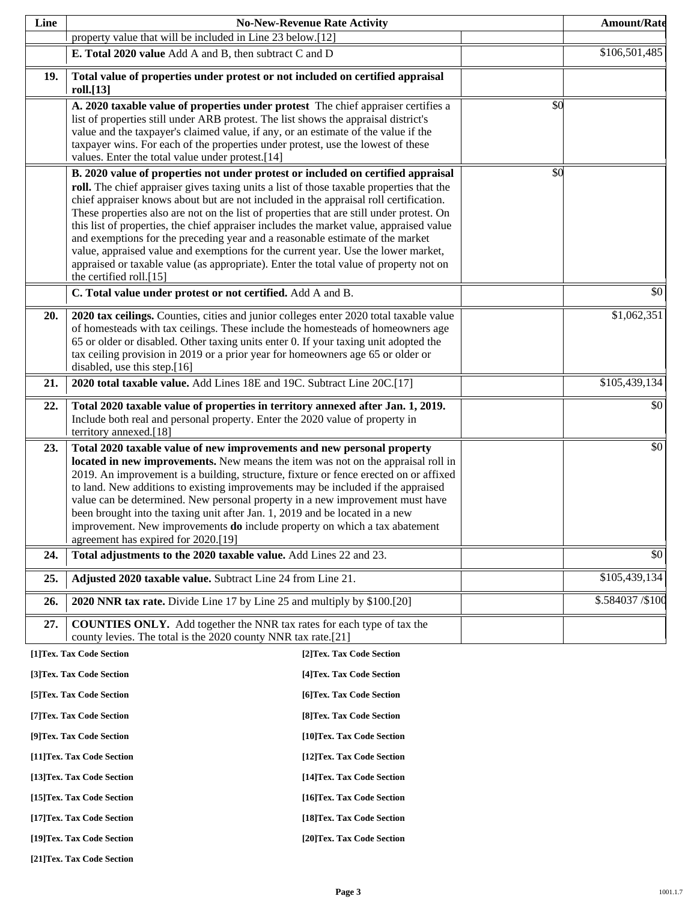| Line                                                     |                                                                                                                                                                                                                                                                                                                                                                                                                                                                                                                                                                                                                                                                                                                                                                                                                       | <b>No-New-Revenue Rate Activity</b> |     | <b>Amount/Rate</b> |
|----------------------------------------------------------|-----------------------------------------------------------------------------------------------------------------------------------------------------------------------------------------------------------------------------------------------------------------------------------------------------------------------------------------------------------------------------------------------------------------------------------------------------------------------------------------------------------------------------------------------------------------------------------------------------------------------------------------------------------------------------------------------------------------------------------------------------------------------------------------------------------------------|-------------------------------------|-----|--------------------|
|                                                          | property value that will be included in Line 23 below.[12]                                                                                                                                                                                                                                                                                                                                                                                                                                                                                                                                                                                                                                                                                                                                                            |                                     |     |                    |
|                                                          | E. Total 2020 value Add A and B, then subtract C and D                                                                                                                                                                                                                                                                                                                                                                                                                                                                                                                                                                                                                                                                                                                                                                |                                     |     | \$106,501,485      |
| 19.                                                      | Total value of properties under protest or not included on certified appraisal<br>roll.[13]                                                                                                                                                                                                                                                                                                                                                                                                                                                                                                                                                                                                                                                                                                                           |                                     |     |                    |
|                                                          | A. 2020 taxable value of properties under protest The chief appraiser certifies a<br>list of properties still under ARB protest. The list shows the appraisal district's<br>value and the taxpayer's claimed value, if any, or an estimate of the value if the<br>taxpayer wins. For each of the properties under protest, use the lowest of these<br>values. Enter the total value under protest.[14]                                                                                                                                                                                                                                                                                                                                                                                                                |                                     | \$0 |                    |
|                                                          | B. 2020 value of properties not under protest or included on certified appraisal<br>roll. The chief appraiser gives taxing units a list of those taxable properties that the<br>chief appraiser knows about but are not included in the appraisal roll certification.<br>These properties also are not on the list of properties that are still under protest. On<br>this list of properties, the chief appraiser includes the market value, appraised value<br>and exemptions for the preceding year and a reasonable estimate of the market<br>value, appraised value and exemptions for the current year. Use the lower market,<br>appraised or taxable value (as appropriate). Enter the total value of property not on<br>the certified roll.[15]<br>C. Total value under protest or not certified. Add A and B. |                                     | \$0 | \$0                |
| 20.                                                      | 2020 tax ceilings. Counties, cities and junior colleges enter 2020 total taxable value<br>of homesteads with tax ceilings. These include the homesteads of homeowners age<br>65 or older or disabled. Other taxing units enter 0. If your taxing unit adopted the<br>tax ceiling provision in 2019 or a prior year for homeowners age 65 or older or<br>disabled, use this step.[16]                                                                                                                                                                                                                                                                                                                                                                                                                                  |                                     |     | \$1,062,351        |
| 21.                                                      | 2020 total taxable value. Add Lines 18E and 19C. Subtract Line 20C.[17]                                                                                                                                                                                                                                                                                                                                                                                                                                                                                                                                                                                                                                                                                                                                               |                                     |     | \$105,439,134      |
| 22.                                                      | Total 2020 taxable value of properties in territory annexed after Jan. 1, 2019.<br>Include both real and personal property. Enter the 2020 value of property in<br>territory annexed.[18]                                                                                                                                                                                                                                                                                                                                                                                                                                                                                                                                                                                                                             |                                     |     | \$0                |
| 23.                                                      | Total 2020 taxable value of new improvements and new personal property<br>located in new improvements. New means the item was not on the appraisal roll in<br>2019. An improvement is a building, structure, fixture or fence erected on or affixed<br>to land. New additions to existing improvements may be included if the appraised<br>value can be determined. New personal property in a new improvement must have<br>been brought into the taxing unit after Jan. 1, 2019 and be located in a new<br>improvement. New improvements do include property on which a tax abatement<br>agreement has expired for 2020.[19]                                                                                                                                                                                         |                                     |     | \$0                |
| 24.                                                      | Total adjustments to the 2020 taxable value. Add Lines 22 and 23.                                                                                                                                                                                                                                                                                                                                                                                                                                                                                                                                                                                                                                                                                                                                                     |                                     |     | \$0                |
| 25.                                                      | Adjusted 2020 taxable value. Subtract Line 24 from Line 21.                                                                                                                                                                                                                                                                                                                                                                                                                                                                                                                                                                                                                                                                                                                                                           |                                     |     | \$105,439,134      |
| 26.                                                      | 2020 NNR tax rate. Divide Line 17 by Line 25 and multiply by \$100.[20]                                                                                                                                                                                                                                                                                                                                                                                                                                                                                                                                                                                                                                                                                                                                               |                                     |     | \$.584037 / \$100  |
| 27.                                                      | <b>COUNTIES ONLY.</b> Add together the NNR tax rates for each type of tax the<br>county levies. The total is the 2020 county NNR tax rate.[21]                                                                                                                                                                                                                                                                                                                                                                                                                                                                                                                                                                                                                                                                        |                                     |     |                    |
|                                                          | [1]Tex. Tax Code Section                                                                                                                                                                                                                                                                                                                                                                                                                                                                                                                                                                                                                                                                                                                                                                                              | [2] Tex. Tax Code Section           |     |                    |
|                                                          | [3]Tex. Tax Code Section                                                                                                                                                                                                                                                                                                                                                                                                                                                                                                                                                                                                                                                                                                                                                                                              | [4] Tex. Tax Code Section           |     |                    |
|                                                          | [5] Tex. Tax Code Section                                                                                                                                                                                                                                                                                                                                                                                                                                                                                                                                                                                                                                                                                                                                                                                             | [6] Tex. Tax Code Section           |     |                    |
|                                                          | [7] Tex. Tax Code Section                                                                                                                                                                                                                                                                                                                                                                                                                                                                                                                                                                                                                                                                                                                                                                                             | [8] Tex. Tax Code Section           |     |                    |
|                                                          | [9]Tex. Tax Code Section                                                                                                                                                                                                                                                                                                                                                                                                                                                                                                                                                                                                                                                                                                                                                                                              | [10]Tex. Tax Code Section           |     |                    |
|                                                          | [11] Tex. Tax Code Section                                                                                                                                                                                                                                                                                                                                                                                                                                                                                                                                                                                                                                                                                                                                                                                            | [12] Tex. Tax Code Section          |     |                    |
|                                                          | [13] Tex. Tax Code Section                                                                                                                                                                                                                                                                                                                                                                                                                                                                                                                                                                                                                                                                                                                                                                                            | [14] Tex. Tax Code Section          |     |                    |
|                                                          | [15] Tex. Tax Code Section                                                                                                                                                                                                                                                                                                                                                                                                                                                                                                                                                                                                                                                                                                                                                                                            | [16] Tex. Tax Code Section          |     |                    |
| [17] Tex. Tax Code Section<br>[18] Tex. Tax Code Section |                                                                                                                                                                                                                                                                                                                                                                                                                                                                                                                                                                                                                                                                                                                                                                                                                       |                                     |     |                    |
|                                                          | [19]Tex. Tax Code Section                                                                                                                                                                                                                                                                                                                                                                                                                                                                                                                                                                                                                                                                                                                                                                                             | [20]Tex. Tax Code Section           |     |                    |

**[21]Tex. Tax Code Section**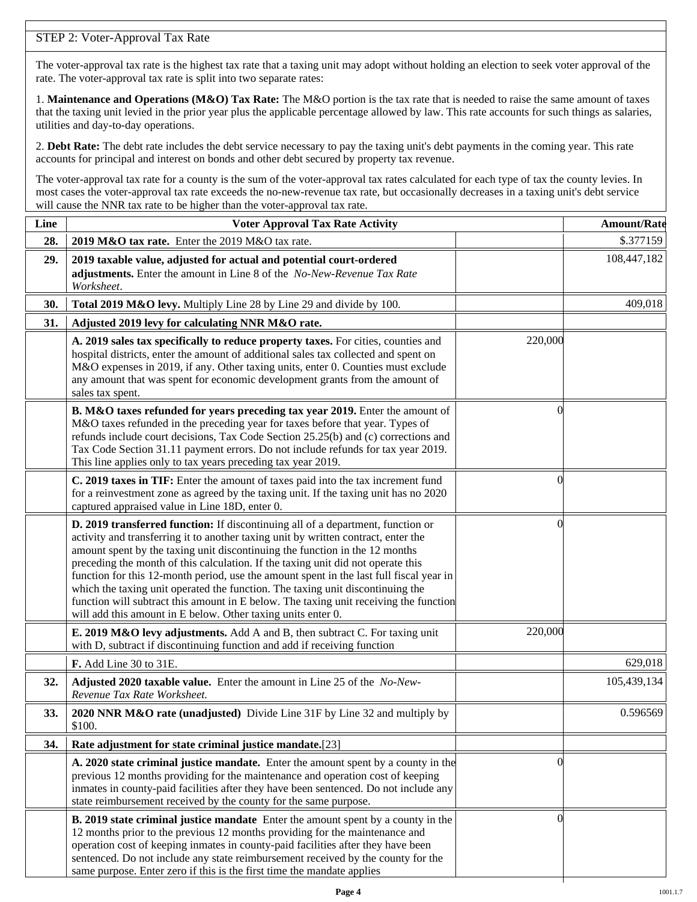## STEP 2: Voter-Approval Tax Rate

The voter-approval tax rate is the highest tax rate that a taxing unit may adopt without holding an election to seek voter approval of the rate. The voter-approval tax rate is split into two separate rates:

1. **Maintenance and Operations (M&O) Tax Rate:** The M&O portion is the tax rate that is needed to raise the same amount of taxes that the taxing unit levied in the prior year plus the applicable percentage allowed by law. This rate accounts for such things as salaries, utilities and day-to-day operations.

2. **Debt Rate:** The debt rate includes the debt service necessary to pay the taxing unit's debt payments in the coming year. This rate accounts for principal and interest on bonds and other debt secured by property tax revenue.

The voter-approval tax rate for a county is the sum of the voter-approval tax rates calculated for each type of tax the county levies. In most cases the voter-approval tax rate exceeds the no-new-revenue tax rate, but occasionally decreases in a taxing unit's debt service will cause the NNR tax rate to be higher than the voter-approval tax rate.

| Line | <b>Voter Approval Tax Rate Activity</b>                                                                                                                                                                                                                                                                                                                                                                                                                                                                                                                                                                                                                                        |          | <b>Amount/Rate</b> |
|------|--------------------------------------------------------------------------------------------------------------------------------------------------------------------------------------------------------------------------------------------------------------------------------------------------------------------------------------------------------------------------------------------------------------------------------------------------------------------------------------------------------------------------------------------------------------------------------------------------------------------------------------------------------------------------------|----------|--------------------|
| 28.  | 2019 M&O tax rate. Enter the 2019 M&O tax rate.                                                                                                                                                                                                                                                                                                                                                                                                                                                                                                                                                                                                                                |          | \$.377159          |
| 29.  | 2019 taxable value, adjusted for actual and potential court-ordered<br>adjustments. Enter the amount in Line 8 of the No-New-Revenue Tax Rate<br>Worksheet.                                                                                                                                                                                                                                                                                                                                                                                                                                                                                                                    |          | 108,447,182        |
| 30.  | Total 2019 M&O levy. Multiply Line 28 by Line 29 and divide by 100.                                                                                                                                                                                                                                                                                                                                                                                                                                                                                                                                                                                                            |          | 409,018            |
| 31.  | Adjusted 2019 levy for calculating NNR M&O rate.                                                                                                                                                                                                                                                                                                                                                                                                                                                                                                                                                                                                                               |          |                    |
|      | A. 2019 sales tax specifically to reduce property taxes. For cities, counties and<br>hospital districts, enter the amount of additional sales tax collected and spent on<br>M&O expenses in 2019, if any. Other taxing units, enter 0. Counties must exclude<br>any amount that was spent for economic development grants from the amount of<br>sales tax spent.                                                                                                                                                                                                                                                                                                               | 220,000  |                    |
|      | B. M&O taxes refunded for years preceding tax year 2019. Enter the amount of<br>M&O taxes refunded in the preceding year for taxes before that year. Types of<br>refunds include court decisions, Tax Code Section 25.25(b) and (c) corrections and<br>Tax Code Section 31.11 payment errors. Do not include refunds for tax year 2019.<br>This line applies only to tax years preceding tax year 2019.                                                                                                                                                                                                                                                                        | 0        |                    |
|      | C. 2019 taxes in TIF: Enter the amount of taxes paid into the tax increment fund<br>for a reinvestment zone as agreed by the taxing unit. If the taxing unit has no 2020<br>captured appraised value in Line 18D, enter 0.                                                                                                                                                                                                                                                                                                                                                                                                                                                     | 0        |                    |
|      | D. 2019 transferred function: If discontinuing all of a department, function or<br>activity and transferring it to another taxing unit by written contract, enter the<br>amount spent by the taxing unit discontinuing the function in the 12 months<br>preceding the month of this calculation. If the taxing unit did not operate this<br>function for this 12-month period, use the amount spent in the last full fiscal year in<br>which the taxing unit operated the function. The taxing unit discontinuing the<br>function will subtract this amount in E below. The taxing unit receiving the function<br>will add this amount in E below. Other taxing units enter 0. | $\left($ |                    |
|      | E. 2019 M&O levy adjustments. Add A and B, then subtract C. For taxing unit<br>with D, subtract if discontinuing function and add if receiving function                                                                                                                                                                                                                                                                                                                                                                                                                                                                                                                        | 220,000  |                    |
|      | F. Add Line 30 to 31E.                                                                                                                                                                                                                                                                                                                                                                                                                                                                                                                                                                                                                                                         |          | 629,018            |
| 32.  | Adjusted 2020 taxable value. Enter the amount in Line 25 of the No-New-<br>Revenue Tax Rate Worksheet.                                                                                                                                                                                                                                                                                                                                                                                                                                                                                                                                                                         |          | 105,439,134        |
| 33.  | 2020 NNR M&O rate (unadjusted) Divide Line 31F by Line 32 and multiply by<br>\$100.                                                                                                                                                                                                                                                                                                                                                                                                                                                                                                                                                                                            |          | 0.596569           |
| 34.  | Rate adjustment for state criminal justice mandate.[23]                                                                                                                                                                                                                                                                                                                                                                                                                                                                                                                                                                                                                        |          |                    |
|      | A. 2020 state criminal justice mandate. Enter the amount spent by a county in the<br>previous 12 months providing for the maintenance and operation cost of keeping<br>inmates in county-paid facilities after they have been sentenced. Do not include any<br>state reimbursement received by the county for the same purpose.                                                                                                                                                                                                                                                                                                                                                | $\theta$ |                    |
|      | B. 2019 state criminal justice mandate Enter the amount spent by a county in the<br>12 months prior to the previous 12 months providing for the maintenance and<br>operation cost of keeping inmates in county-paid facilities after they have been<br>sentenced. Do not include any state reimbursement received by the county for the<br>same purpose. Enter zero if this is the first time the mandate applies                                                                                                                                                                                                                                                              | $\Omega$ |                    |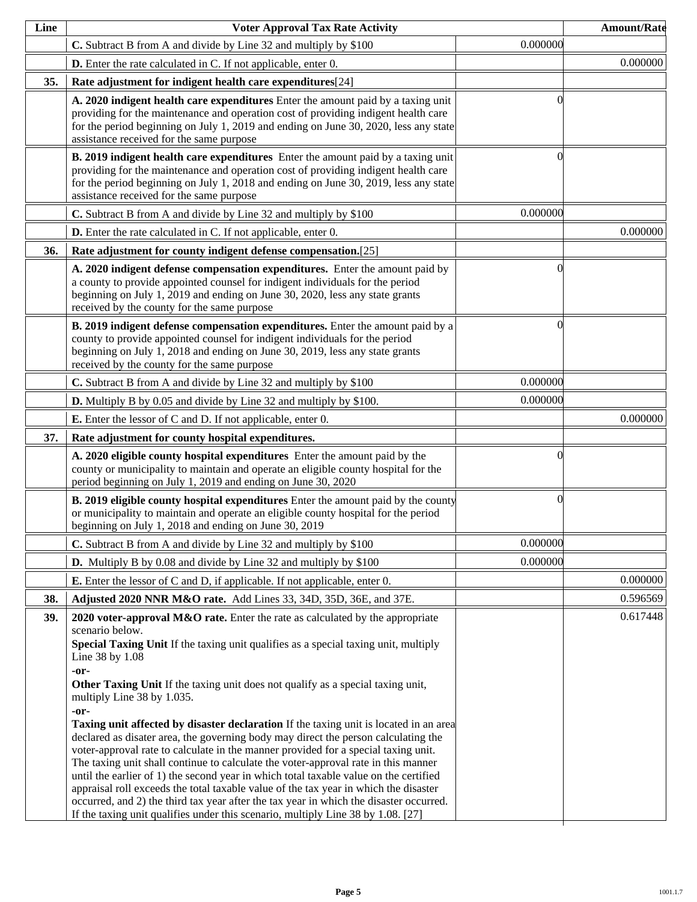| Line | <b>Voter Approval Tax Rate Activity</b>                                                                                                                                                                                                                                                                                                                                                                                                                                                                                                                                                                                                                                                                                                                                                                                                                                                                                                                                                                                                                                        |          | <b>Amount/Rate</b> |
|------|--------------------------------------------------------------------------------------------------------------------------------------------------------------------------------------------------------------------------------------------------------------------------------------------------------------------------------------------------------------------------------------------------------------------------------------------------------------------------------------------------------------------------------------------------------------------------------------------------------------------------------------------------------------------------------------------------------------------------------------------------------------------------------------------------------------------------------------------------------------------------------------------------------------------------------------------------------------------------------------------------------------------------------------------------------------------------------|----------|--------------------|
|      | C. Subtract B from A and divide by Line 32 and multiply by \$100                                                                                                                                                                                                                                                                                                                                                                                                                                                                                                                                                                                                                                                                                                                                                                                                                                                                                                                                                                                                               | 0.000000 |                    |
|      | <b>D.</b> Enter the rate calculated in C. If not applicable, enter 0.                                                                                                                                                                                                                                                                                                                                                                                                                                                                                                                                                                                                                                                                                                                                                                                                                                                                                                                                                                                                          |          | 0.000000           |
| 35.  | Rate adjustment for indigent health care expenditures[24]                                                                                                                                                                                                                                                                                                                                                                                                                                                                                                                                                                                                                                                                                                                                                                                                                                                                                                                                                                                                                      |          |                    |
|      | A. 2020 indigent health care expenditures Enter the amount paid by a taxing unit<br>providing for the maintenance and operation cost of providing indigent health care<br>for the period beginning on July 1, 2019 and ending on June 30, 2020, less any state<br>assistance received for the same purpose                                                                                                                                                                                                                                                                                                                                                                                                                                                                                                                                                                                                                                                                                                                                                                     |          |                    |
|      | B. 2019 indigent health care expenditures Enter the amount paid by a taxing unit<br>providing for the maintenance and operation cost of providing indigent health care<br>for the period beginning on July 1, 2018 and ending on June 30, 2019, less any state<br>assistance received for the same purpose                                                                                                                                                                                                                                                                                                                                                                                                                                                                                                                                                                                                                                                                                                                                                                     |          |                    |
|      | C. Subtract B from A and divide by Line 32 and multiply by \$100                                                                                                                                                                                                                                                                                                                                                                                                                                                                                                                                                                                                                                                                                                                                                                                                                                                                                                                                                                                                               | 0.000000 |                    |
|      | D. Enter the rate calculated in C. If not applicable, enter 0.                                                                                                                                                                                                                                                                                                                                                                                                                                                                                                                                                                                                                                                                                                                                                                                                                                                                                                                                                                                                                 |          | 0.000000           |
| 36.  | Rate adjustment for county indigent defense compensation.[25]                                                                                                                                                                                                                                                                                                                                                                                                                                                                                                                                                                                                                                                                                                                                                                                                                                                                                                                                                                                                                  |          |                    |
|      | A. 2020 indigent defense compensation expenditures. Enter the amount paid by<br>a county to provide appointed counsel for indigent individuals for the period<br>beginning on July 1, 2019 and ending on June 30, 2020, less any state grants<br>received by the county for the same purpose                                                                                                                                                                                                                                                                                                                                                                                                                                                                                                                                                                                                                                                                                                                                                                                   | 0        |                    |
|      | B. 2019 indigent defense compensation expenditures. Enter the amount paid by a<br>county to provide appointed counsel for indigent individuals for the period<br>beginning on July 1, 2018 and ending on June 30, 2019, less any state grants<br>received by the county for the same purpose                                                                                                                                                                                                                                                                                                                                                                                                                                                                                                                                                                                                                                                                                                                                                                                   | 0        |                    |
|      | C. Subtract B from A and divide by Line 32 and multiply by \$100                                                                                                                                                                                                                                                                                                                                                                                                                                                                                                                                                                                                                                                                                                                                                                                                                                                                                                                                                                                                               | 0.000000 |                    |
|      | <b>D.</b> Multiply B by 0.05 and divide by Line 32 and multiply by \$100.                                                                                                                                                                                                                                                                                                                                                                                                                                                                                                                                                                                                                                                                                                                                                                                                                                                                                                                                                                                                      | 0.000000 |                    |
|      | <b>E.</b> Enter the lessor of C and D. If not applicable, enter 0.                                                                                                                                                                                                                                                                                                                                                                                                                                                                                                                                                                                                                                                                                                                                                                                                                                                                                                                                                                                                             |          | 0.000000           |
| 37.  | Rate adjustment for county hospital expenditures.                                                                                                                                                                                                                                                                                                                                                                                                                                                                                                                                                                                                                                                                                                                                                                                                                                                                                                                                                                                                                              |          |                    |
|      | A. 2020 eligible county hospital expenditures Enter the amount paid by the<br>county or municipality to maintain and operate an eligible county hospital for the<br>period beginning on July 1, 2019 and ending on June 30, 2020                                                                                                                                                                                                                                                                                                                                                                                                                                                                                                                                                                                                                                                                                                                                                                                                                                               |          |                    |
|      | <b>B. 2019 eligible county hospital expenditures</b> Enter the amount paid by the county<br>or municipality to maintain and operate an eligible county hospital for the period<br>beginning on July 1, 2018 and ending on June 30, 2019                                                                                                                                                                                                                                                                                                                                                                                                                                                                                                                                                                                                                                                                                                                                                                                                                                        | 0        |                    |
|      | C. Subtract B from A and divide by Line 32 and multiply by \$100                                                                                                                                                                                                                                                                                                                                                                                                                                                                                                                                                                                                                                                                                                                                                                                                                                                                                                                                                                                                               | 0.000000 |                    |
|      | <b>D.</b> Multiply B by 0.08 and divide by Line 32 and multiply by \$100                                                                                                                                                                                                                                                                                                                                                                                                                                                                                                                                                                                                                                                                                                                                                                                                                                                                                                                                                                                                       | 0.000000 |                    |
|      | <b>E.</b> Enter the lessor of C and D, if applicable. If not applicable, enter 0.                                                                                                                                                                                                                                                                                                                                                                                                                                                                                                                                                                                                                                                                                                                                                                                                                                                                                                                                                                                              |          | 0.000000           |
| 38.  | Adjusted 2020 NNR M&O rate. Add Lines 33, 34D, 35D, 36E, and 37E.                                                                                                                                                                                                                                                                                                                                                                                                                                                                                                                                                                                                                                                                                                                                                                                                                                                                                                                                                                                                              |          | 0.596569           |
| 39.  | 2020 voter-approval $M&O$ rate. Enter the rate as calculated by the appropriate<br>scenario below.<br>Special Taxing Unit If the taxing unit qualifies as a special taxing unit, multiply<br>Line 38 by 1.08<br>-or-<br>Other Taxing Unit If the taxing unit does not qualify as a special taxing unit,<br>multiply Line 38 by 1.035.<br>-or-<br><b>Taxing unit affected by disaster declaration</b> If the taxing unit is located in an area<br>declared as disater area, the governing body may direct the person calculating the<br>voter-approval rate to calculate in the manner provided for a special taxing unit.<br>The taxing unit shall continue to calculate the voter-approval rate in this manner<br>until the earlier of 1) the second year in which total taxable value on the certified<br>appraisal roll exceeds the total taxable value of the tax year in which the disaster<br>occurred, and 2) the third tax year after the tax year in which the disaster occurred.<br>If the taxing unit qualifies under this scenario, multiply Line 38 by 1.08. [27] |          | 0.617448           |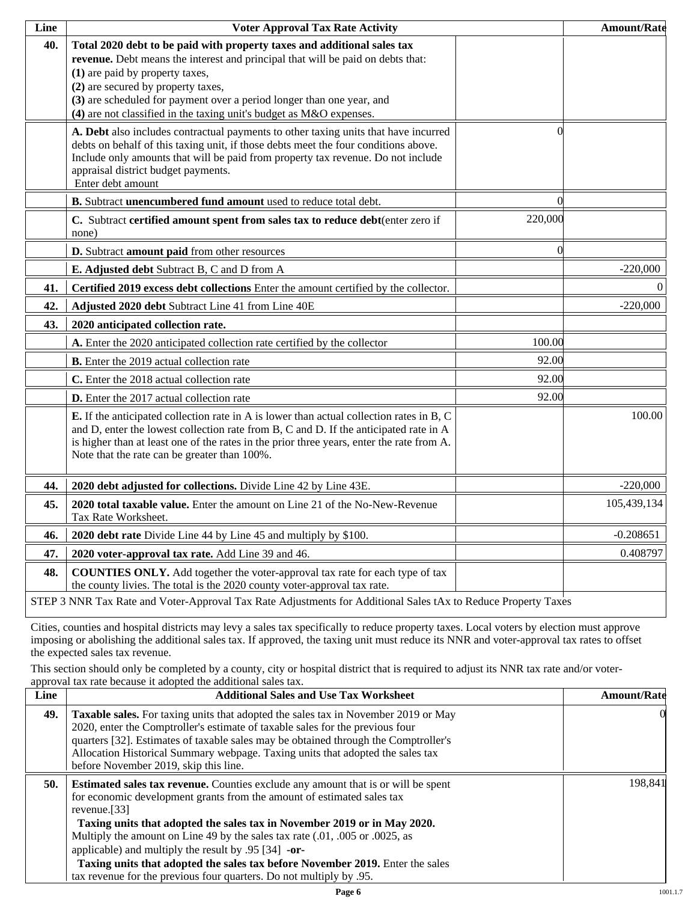| Line | <b>Voter Approval Tax Rate Activity</b>                                                                                                                                                                                                                                                                                                                                             |                | <b>Amount/Rate</b> |
|------|-------------------------------------------------------------------------------------------------------------------------------------------------------------------------------------------------------------------------------------------------------------------------------------------------------------------------------------------------------------------------------------|----------------|--------------------|
| 40.  | Total 2020 debt to be paid with property taxes and additional sales tax<br>revenue. Debt means the interest and principal that will be paid on debts that:<br>(1) are paid by property taxes,<br>(2) are secured by property taxes,<br>(3) are scheduled for payment over a period longer than one year, and<br>(4) are not classified in the taxing unit's budget as M&O expenses. |                |                    |
|      | A. Debt also includes contractual payments to other taxing units that have incurred<br>debts on behalf of this taxing unit, if those debts meet the four conditions above.<br>Include only amounts that will be paid from property tax revenue. Do not include<br>appraisal district budget payments.<br>Enter debt amount                                                          | 0              |                    |
|      | B. Subtract unencumbered fund amount used to reduce total debt.                                                                                                                                                                                                                                                                                                                     | $\Omega$       |                    |
|      | C. Subtract certified amount spent from sales tax to reduce debt(enter zero if<br>none)                                                                                                                                                                                                                                                                                             | 220,000        |                    |
|      | D. Subtract amount paid from other resources                                                                                                                                                                                                                                                                                                                                        | $\blacksquare$ |                    |
|      | E. Adjusted debt Subtract B, C and D from A                                                                                                                                                                                                                                                                                                                                         |                | $-220,000$         |
| 41.  | Certified 2019 excess debt collections Enter the amount certified by the collector.                                                                                                                                                                                                                                                                                                 |                | $\Omega$           |
| 42.  | Adjusted 2020 debt Subtract Line 41 from Line 40E                                                                                                                                                                                                                                                                                                                                   |                | $-220,000$         |
| 43.  | 2020 anticipated collection rate.                                                                                                                                                                                                                                                                                                                                                   |                |                    |
|      | A. Enter the 2020 anticipated collection rate certified by the collector                                                                                                                                                                                                                                                                                                            | 100.00         |                    |
|      | <b>B.</b> Enter the 2019 actual collection rate                                                                                                                                                                                                                                                                                                                                     | 92.00          |                    |
|      | C. Enter the 2018 actual collection rate                                                                                                                                                                                                                                                                                                                                            | 92.00          |                    |
|      | D. Enter the 2017 actual collection rate                                                                                                                                                                                                                                                                                                                                            | 92.00          |                    |
|      | <b>E.</b> If the anticipated collection rate in A is lower than actual collection rates in B, C<br>and D, enter the lowest collection rate from B, C and D. If the anticipated rate in A<br>is higher than at least one of the rates in the prior three years, enter the rate from A.<br>Note that the rate can be greater than 100%.                                               |                | 100.00             |
| 44.  | 2020 debt adjusted for collections. Divide Line 42 by Line 43E.                                                                                                                                                                                                                                                                                                                     |                | $-220,000$         |
| 45.  | 2020 total taxable value. Enter the amount on Line 21 of the No-New-Revenue<br>Tax Rate Worksheet.                                                                                                                                                                                                                                                                                  |                | 105,439,134        |
| 46.  | 2020 debt rate Divide Line 44 by Line 45 and multiply by \$100.                                                                                                                                                                                                                                                                                                                     |                | $-0.208651$        |
| 47.  | 2020 voter-approval tax rate. Add Line 39 and 46.                                                                                                                                                                                                                                                                                                                                   |                | 0.408797           |
| 48.  | <b>COUNTIES ONLY.</b> Add together the voter-approval tax rate for each type of tax<br>the county livies. The total is the 2020 county voter-approval tax rate.                                                                                                                                                                                                                     |                |                    |
|      | STEP 3 NNR Tax Rate and Voter-Approval Tax Rate Adjustments for Additional Sales tAx to Reduce Property Taxes                                                                                                                                                                                                                                                                       |                |                    |

Cities, counties and hospital districts may levy a sales tax specifically to reduce property taxes. Local voters by election must approve imposing or abolishing the additional sales tax. If approved, the taxing unit must reduce its NNR and voter-approval tax rates to offset the expected sales tax revenue.

This section should only be completed by a county, city or hospital district that is required to adjust its NNR tax rate and/or voterapproval tax rate because it adopted the additional sales tax.

| Line | <b>Additional Sales and Use Tax Worksheet</b>                                                                                                                                                                                                                                                                                                                                                | <b>Amount/Rate</b> |
|------|----------------------------------------------------------------------------------------------------------------------------------------------------------------------------------------------------------------------------------------------------------------------------------------------------------------------------------------------------------------------------------------------|--------------------|
| 49.  | <b>Taxable sales.</b> For taxing units that adopted the sales tax in November 2019 or May<br>2020, enter the Comptroller's estimate of taxable sales for the previous four<br>quarters [32]. Estimates of taxable sales may be obtained through the Comptroller's<br>Allocation Historical Summary webpage. Taxing units that adopted the sales tax<br>before November 2019, skip this line. | $\Omega$           |
| 50.  | <b>Estimated sales tax revenue.</b> Counties exclude any amount that is or will be spent<br>for economic development grants from the amount of estimated sales tax<br>revenue. $[33]$<br>Taxing units that adopted the sales tax in November 2019 or in May 2020.                                                                                                                            | 198.841            |
|      | Multiply the amount on Line 49 by the sales tax rate (.01, .005 or .0025, as<br>applicable) and multiply the result by $.95$ [34] -or-                                                                                                                                                                                                                                                       |                    |
|      | Taxing units that adopted the sales tax before November 2019. Enter the sales<br>tax revenue for the previous four quarters. Do not multiply by .95.                                                                                                                                                                                                                                         |                    |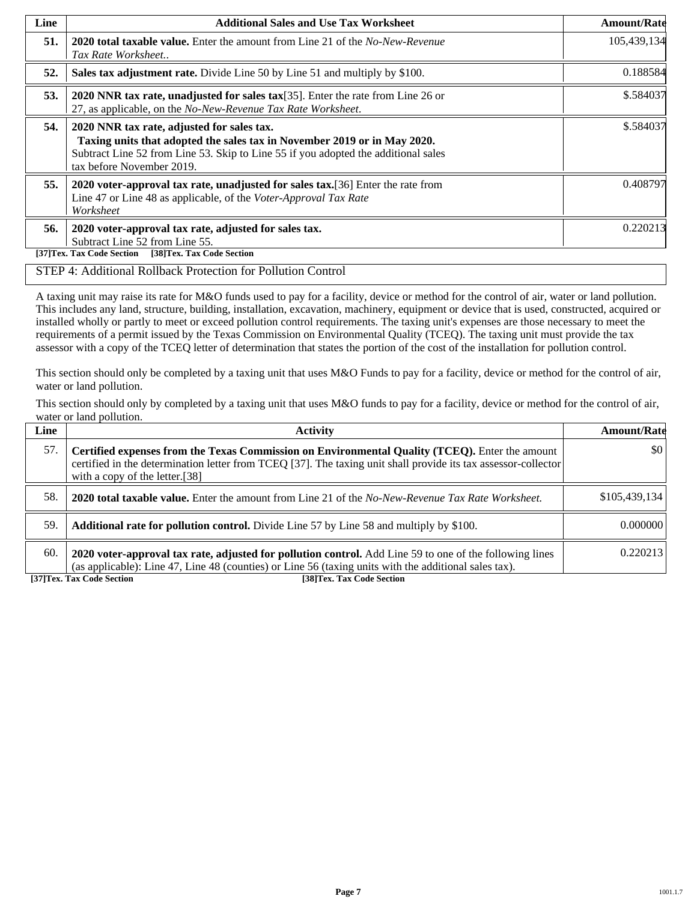| Line | <b>Additional Sales and Use Tax Worksheet</b>                                                                                                                                                                                             | <b>Amount/Rate</b> |
|------|-------------------------------------------------------------------------------------------------------------------------------------------------------------------------------------------------------------------------------------------|--------------------|
| 51.  | <b>2020 total taxable value.</b> Enter the amount from Line 21 of the <i>No-New-Revenue</i><br>Tax Rate Worksheet                                                                                                                         | 105,439,134        |
| 52.  | Sales tax adjustment rate. Divide Line 50 by Line 51 and multiply by \$100.                                                                                                                                                               | 0.188584           |
| 53.  | 2020 NNR tax rate, unadjusted for sales tax $[35]$ . Enter the rate from Line 26 or<br>27, as applicable, on the No-New-Revenue Tax Rate Worksheet.                                                                                       | \$.584037          |
| 54.  | 2020 NNR tax rate, adjusted for sales tax.<br>Taxing units that adopted the sales tax in November 2019 or in May 2020.<br>Subtract Line 52 from Line 53. Skip to Line 55 if you adopted the additional sales<br>tax before November 2019. | \$.584037          |
| 55.  | 2020 voter-approval tax rate, unadjusted for sales tax. [36] Enter the rate from<br>Line 47 or Line 48 as applicable, of the Voter-Approval Tax Rate<br>Worksheet                                                                         | 0.408797           |
| 56.  | 2020 voter-approval tax rate, adjusted for sales tax.<br>Subtract Line 52 from Line 55.<br>[38]Tex. Tax Code Section<br>[37]Tex. Tax Code Section                                                                                         | 0.220213           |

#### STEP 4: Additional Rollback Protection for Pollution Control

A taxing unit may raise its rate for M&O funds used to pay for a facility, device or method for the control of air, water or land pollution. This includes any land, structure, building, installation, excavation, machinery, equipment or device that is used, constructed, acquired or installed wholly or partly to meet or exceed pollution control requirements. The taxing unit's expenses are those necessary to meet the requirements of a permit issued by the Texas Commission on Environmental Quality (TCEQ). The taxing unit must provide the tax assessor with a copy of the TCEQ letter of determination that states the portion of the cost of the installation for pollution control.

This section should only be completed by a taxing unit that uses M&O Funds to pay for a facility, device or method for the control of air, water or land pollution.

This section should only by completed by a taxing unit that uses M&O funds to pay for a facility, device or method for the control of air, water or land pollution.

| Line | <b>Activity</b>                                                                                                                                                                                                                                    | <b>Amount/Rate</b>      |
|------|----------------------------------------------------------------------------------------------------------------------------------------------------------------------------------------------------------------------------------------------------|-------------------------|
| 57.  | Certified expenses from the Texas Commission on Environmental Quality (TCEQ). Enter the amount<br>certified in the determination letter from TCEQ [37]. The taxing unit shall provide its tax assessor-collector<br>with a copy of the letter.[38] | $\vert \$\text{0}\vert$ |
| 58.  | <b>2020 total taxable value.</b> Enter the amount from Line 21 of the No-New-Revenue Tax Rate Worksheet.                                                                                                                                           | \$105,439,134           |
| 59.  | <b>Additional rate for pollution control.</b> Divide Line 57 by Line 58 and multiply by \$100.                                                                                                                                                     | 0.000000                |
| 60.  | 2020 voter-approval tax rate, adjusted for pollution control. Add Line 59 to one of the following lines<br>(as applicable): Line 47, Line 48 (counties) or Line 56 (taxing units with the additional sales tax).                                   | 0.220213                |

**[37]Tex. Tax Code Section [38]Tex. Tax Code Section**